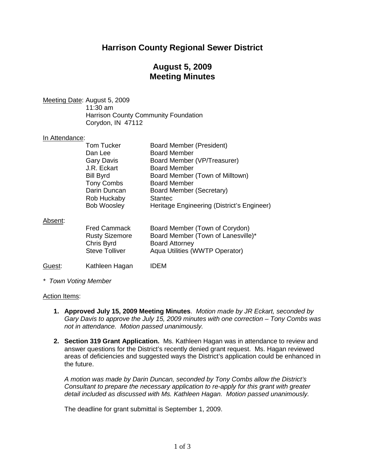## **Harrison County Regional Sewer District**

## **August 5, 2009 Meeting Minutes**

Meeting Date: August 5, 2009 11:30 am Harrison County Community Foundation Corydon, IN 47112

## In Attendance:

|         | <b>Tom Tucker</b><br>Dan Lee<br><b>Gary Davis</b><br>J.R. Eckart<br><b>Bill Byrd</b><br><b>Tony Combs</b><br>Darin Duncan<br>Rob Huckaby | <b>Board Member (President)</b><br><b>Board Member</b><br>Board Member (VP/Treasurer)<br><b>Board Member</b><br>Board Member (Town of Milltown)<br><b>Board Member</b><br>Board Member (Secretary)<br><b>Stantec</b> |
|---------|------------------------------------------------------------------------------------------------------------------------------------------|----------------------------------------------------------------------------------------------------------------------------------------------------------------------------------------------------------------------|
|         | <b>Bob Woosley</b>                                                                                                                       | Heritage Engineering (District's Engineer)                                                                                                                                                                           |
| Absent: | <b>Fred Cammack</b><br><b>Rusty Sizemore</b><br>Chris Byrd<br><b>Steve Tolliver</b>                                                      | Board Member (Town of Corydon)<br>Board Member (Town of Lanesville)*<br><b>Board Attorney</b><br>Aqua Utilities (WWTP Operator)                                                                                      |
| Guest:  | Kathleen Hagan                                                                                                                           | IDEM                                                                                                                                                                                                                 |

*\* Town Voting Member*

#### Action Items:

- **1. Approved July 15, 2009 Meeting Minutes**. *Motion made by JR Eckart, seconded by Gary Davis to approve the July 15, 2009 minutes with one correction – Tony Combs was not in attendance. Motion passed unanimously.*
- **2. Section 319 Grant Application.** Ms. Kathleen Hagan was in attendance to review and answer questions for the District's recently denied grant request. Ms. Hagan reviewed areas of deficiencies and suggested ways the District's application could be enhanced in the future.

*A motion was made by Darin Duncan, seconded by Tony Combs allow the District's Consultant to prepare the necessary application to re-apply for this grant with greater detail included as discussed with Ms. Kathleen Hagan. Motion passed unanimously.*

The deadline for grant submittal is September 1, 2009.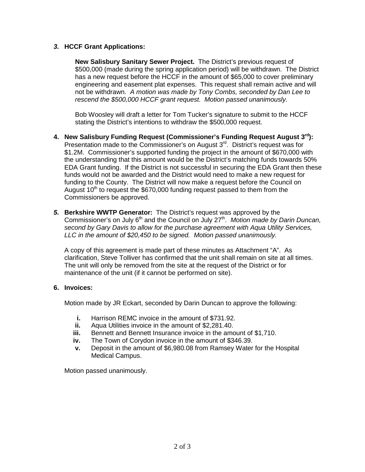### *3.* **HCCF Grant Applications:**

**New Salisbury Sanitary Sewer Project.** The District's previous request of \$500,000 (made during the spring application period) will be withdrawn. The District has a new request before the HCCF in the amount of \$65,000 to cover preliminary engineering and easement plat expenses. This request shall remain active and will not be withdrawn. *A motion was made by Tony Combs, seconded by Dan Lee to rescend the \$500,000 HCCF grant request. Motion passed unanimously.*

Bob Woosley will draft a letter for Tom Tucker's signature to submit to the HCCF stating the District's intentions to withdraw the \$500,000 request.

- **4. New Salisbury Funding Request (Commissioner's Funding Request August 3rd):** Presentation made to the Commissioner's on August 3<sup>rd</sup>. District's request was for \$1.2M. Commissioner's supported funding the project in the amount of \$670,000 with the understanding that this amount would be the District's matching funds towards 50% EDA Grant funding. If the District is not successful in securing the EDA Grant then these funds would not be awarded and the District would need to make a new request for funding to the County. The District will now make a request before the Council on August  $10<sup>th</sup>$  to request the \$670,000 funding request passed to them from the Commissioners be approved.
- *5.* **Berkshire WWTP Generator:** The District's request was approved by the Commissioner's on July 6<sup>th</sup> and the Council on July 27<sup>th</sup>. *Motion made by Darin Duncan, second by Gary Davis to allow for the purchase agreement with Aqua Utility Services, LLC in the amount of \$20,450 to be signed. Motion passed unanimously.*

A copy of this agreement is made part of these minutes as Attachment "A". As clarification, Steve Tolliver has confirmed that the unit shall remain on site at all times. The unit will only be removed from the site at the request of the District or for maintenance of the unit (if it cannot be performed on site).

### **6. Invoices:**

Motion made by JR Eckart, seconded by Darin Duncan to approve the following:

- **i.** Harrison REMC invoice in the amount of \$731.92.
- **ii.** Aqua Utilities invoice in the amount of \$2,281.40.<br>**iii.** Bennett and Bennett Insurance invoice in the amo
- **iii.** Bennett and Bennett Insurance invoice in the amount of \$1,710.<br>**iv.** The Town of Corvdon invoice in the amount of \$346.39.
- **iv.** The Town of Corydon invoice in the amount of \$346.39.
- **v.** Deposit in the amount of \$6,980.08 from Ramsey Water for the Hospital Medical Campus.

Motion passed unanimously.